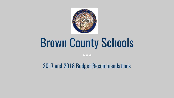

# **Brown County Schools**

 $\bullet\bullet\bullet$ 

2017 and 2018 Budget Recommendations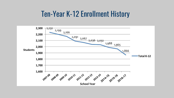# **Ten-Year K-12 Enrollment History**

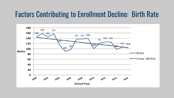# **Factors Contributing to Enrollment Decline: Birth Rate**

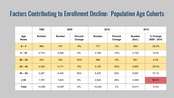### **Factors Contributing to Enrollment Decline: Population Age Cohorts**

|                      | 1990          | 2000          |                          | 2010          |                          | 2015                    |                         |
|----------------------|---------------|---------------|--------------------------|---------------|--------------------------|-------------------------|-------------------------|
| Age<br><b>Strata</b> | <b>Number</b> | <b>Number</b> | <b>Percent</b><br>Change | <b>Number</b> | <b>Percent</b><br>Change | <b>Number</b><br>(Est.) | % Change<br>2000 - 2015 |
| $0 - 4$              | 866           | 791           | $-9%$                    | 777           | $-2%$                    | 584                     | $-26.2%$                |
| $5 - 19$             | 2,774         | 3,008         | 8%                       | 2,709         | $-10%$                   | 2,730                   | $-9.2%$                 |
| $20 - 24$            | 930           | 634           | $-32%$                   | 586           | $-8%$                    | 661                     | 4.3%                    |
| $25 - 44$            | 4,456         | 4,171         | $-6%$                    | 3,125         | $-25%$                   | 2,900                   | $-30.5%$                |
| $45 - 64$            | 3,267         | 4,430         | 36%                      | 5,425         | 22%                      | 5,097                   | 15.1%                   |
| $\geq 65$            | 1,787         | 1,923         | 8%                       | 2,620         | 36%                      | 3,039                   | 58.0%                   |
| Total                | 14,080        | 14,957        | 6%                       | 15,242        | 2%                       | 15,011                  | $-0.4%$                 |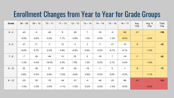# Enrollment Changes from Year to Year for Grade Groups

| Grade    | $'08 - '09$ | $'09 - '10$ | $'10 - '11$ | $'11 - '12$ | $12 - 13$ | $13 - 14$      | $'14 - '15$ | $15 - 16$           | $16 - 17$ | Avg.<br>Chg | Avg. %<br>Chg | Total<br>Chg |
|----------|-------------|-------------|-------------|-------------|-----------|----------------|-------------|---------------------|-----------|-------------|---------------|--------------|
| $K - 4$  | $-40$       | $-5$        | $-40$       | 8           | $-28$     | $\overline{7}$ | $-18$       | -9                  | $-65$     | $-21$       |               | $-190$       |
|          | $-4.9%$     | $-0.6%$     | $-5.2%$     | 1.1%        | $-3.8%$   | 1.0%           | $-2.5%$     | $-1.3%$             | $-9.5%$   |             | $-2.9%$       |              |
| $5 - 6$  | $-21$       | 17          | $-7$        | 12          | $-3$      | 3              | $-7$        | $-21$               | $-15$     | $-5$        |               | $-42$        |
|          | $-6.6%$     | 5.7%        | $-2.2%$     | 3.9%        | $-0.9%$   | 0.9%           | $-2.2%$     | $-6.7%$             | $-5.1%$   |             | $-1.5%$       |              |
| $7 - 8$  | $-7$        | $-20$       | $-49$       | 13          | 25        | $\overline{5}$ | $-18$       | $\overline{7}$      | $-18$     | $-7$        |               | $-62$        |
|          | $-1.9%$     | $-5.4%$     | $-14.0%$    | 4.3%        | 7.9%      | 1.5%           | $-5.2%$     | 2.1%                | $-5.4%$   |             | $-1.8%$       |              |
| $9 - 12$ | 35          | $-25$       | 21          | $-57$       | $-25$     | $-19$          | $-1$        | $\mathsf{O}\xspace$ | $-1$      | $-8$        |               | $-72$        |
|          | 4.8%        | $-3.3%$     | 2.9%        | $-7.5%$     | $-3.6%$   | $-2.8%$        | $-0.2%$     | 0.0%                | $-0.2%$   |             | $-1.1%$       |              |
| $K - 12$ | $-33$       | $-33$       | $-75$       | $-24$       | $-31$     | $-4$           | $-44$       | $-23$               | $-99$     | $-41$       |               | $-366$       |
|          | $-1.5%$     | $-1.5%$     | $-3.5%$     | $-1.1%$     | $-1.5%$   | $-0.2%$        | $-2.2%$     | $-1.2%$             | $-5.0\%$  |             | $-2.0%$       |              |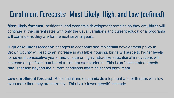# Enrollment Forecasts: Most Likely, High, and Low (defined)

Most likely forecast: residential and economic development remains as they are, births will continue at the current rates with only the usual variations and current educational programs will continue as they are for the next several years.

**High enrollment forecast:** changes in economic and residential development policy in Brown County will lead to an increase in available housing, births will surge to higher levels for several consecutive years, and unique or highly attractive educational innovations will increase a significant number of tuition transfer students. This is an "accelerated growth rate" scenario beyond the current conditions affecting school enrollment.

Low enrollment forecast: Residential and economic development and birth rates will slow even more than they are currently. This is a "slower growth" scenario.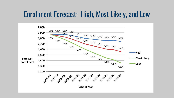# **Enrollment Forecast: High, Most Likely, and Low**

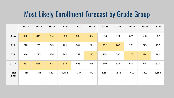# **Most Likely Enrollment Forecast by Grade Group**

|                        | $16 - 17$ | $'17 - 18$ | $'18 - 19$ | $'19 - '20$ | $'20 - '21$ | $'21 - '22$ | $'22 - '23$ | $'23 - 24$ | $'24 - 25$ | $'25 - '26$ | $'26 - '27$ |
|------------------------|-----------|------------|------------|-------------|-------------|-------------|-------------|------------|------------|-------------|-------------|
| $K - 4$                | 620       | 649        | 654        | 639         | 639         | 634         | 606         | 574        | 571        | 555         | 537         |
| $5 - 6$                | 278       | 250        | 249        | 261         | 244         | 241         | 262         | 283        | 251        | 229         | 237         |
| $7 - 8$                | 316       | 293        | 289        | 260         | 259         | 272         | 254         | 250        | 273        | 294         | 261         |
| $9 - 12$               | 652       | 654        | 628        | 623         | 596         | 545         | 540         | 524        | 507        | 514         | 521         |
| <b>Total</b><br>$K-12$ | 1,866     | 1,845      | 1,821      | 1,782       | 1,737       | 1,691       | 1,663       | 1,631      | 1,602      | 1,592       | 1,556       |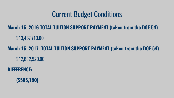# **Current Budget Conditions**

March 15, 2016 TOTAL TUITION SUPPORT PAYMENT (taken from the DOE 54) \$13,467,710.00

March 15, 2017 TOTAL TUITION SUPPORT PAYMENT (taken from the DOE 54) \$12,882,520.00

**DIFFERENCE:** 

 $(S585, 190)$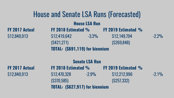# House and Senate LSA Runs (Forecasted)

#### **House LSA Run**

**FY 2017 Actual FY 2018 Estimated % FY 2019 Estimated %**  $$12,840,913$   $$12,419,642$   $$3.3\%$   $$12,149,794$   $$2.2\%$  $(S421,271)$  (\$269,848) **TOTAL: (\$691,119) for biennium** 

#### **Senate LSA Run**

**FY 2017 Actual FY 2018 Estimated % FY 2019 Estimated %**  $\$12.840.913$   $\$12.470.328$   $\$2.9\%$   $\$12.212.996$   $\$2.1\%$  $(S370,585)$   $(S257,332)$ **TOTAL: (\$627,917) for biennium**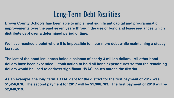# Long-Term Debt Realities

In this component we have contained to imprement eigencome captule and programmant **Brown County Schools has been able to implement significant capital and programmatic distribute debt over a determined period of time.** 

**We have reached a point where it is impossible to incur more debt while maintaining a steady tax rate.** 

**The last of the bond issuances holds a balance of nearly 3 million dollars. All other bond dollars have been expended. I took action to hold all bond expenditures so that the remaining dollars would be used to address significant HVAC issues across the district.** 

**As an example, the long term TOTAL debt for the district for the first payment of 2017 was \$1,456,878. The second payment for 2017 will be \$1,906,703. The first payment of 2018 will be \$2,048,319.**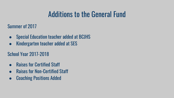# Additions to the General Fund

Summer of 2017

- Special Education teacher added at BCJHS
- Kindergarten teacher added at SES

#### School Year 2017-2018

- **Raises for Certified Staff**
- **Raises for Non-Certified Staff**
- Coaching Positions Added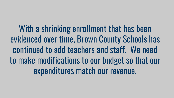With a shrinking enrollment that has been evidenced over time, Brown County Schools has continued to add teachers and staff. We need to make modifications to our budget so that our expenditures match our revenue.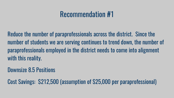Reduce the number of paraprofessionals across the district. Since the number of students we are serving continues to trend down, the number of paraprofessionals employed in the district needs to come into alignment with this reality.

**Downsize 8.5 Positions** 

Cost Savings: \$212,500 (assumption of \$25,000 per paraprofessional)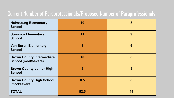#### Current Number of Paraprofessionals/Proposed Number of Paraprofessionals

| <b>Helmsburg Elementary</b><br><b>School</b>                   | 10   | 8               |
|----------------------------------------------------------------|------|-----------------|
| <b>Sprunica Elementary</b><br><b>School</b>                    | 11   | 9               |
| <b>Van Buren Elementary</b><br><b>School</b>                   | 8    | $6\phantom{1}6$ |
| <b>Brown County Intermediate</b><br><b>School (mod/severe)</b> | 10   | 8               |
| <b>Brown County Junior High</b><br><b>School</b>               | 5    | 5               |
| <b>Brown County High School</b><br>(mod/severe)                | 8.5  | 8               |
| <b>TOTAL</b>                                                   | 52.5 | 44              |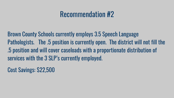**Brown County Schools currently employs 3.5 Speech Language** Pathologists. The .5 position is currently open. The district will not fill the .5 position and will cover caseloads with a proportionate distribution of services with the 3 SLP's currently employed.

**Cost Savings: \$22,500**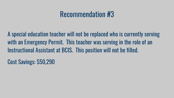A special education teacher will not be replaced who is currently serving with an Emergency Permit. This teacher was serving in the role of an Instructional Assistant at BCIS. This position will not be filled.

**Cost Savings: \$50,290**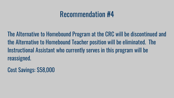The Alternative to Homebound Program at the CRC will be discontinued and the Alternative to Homebound Teacher position will be eliminated. The Instructional Assistant who currently serves in this program will be reassigned.

Cost Savings: \$58,000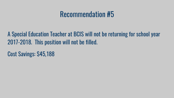A Special Education Teacher at BCIS will not be returning for school year 2017-2018. This position will not be filled.

Cost Savings: \$45,188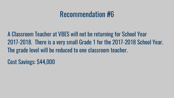A Classroom Teacher at VBES will not be returning for School Year 2017-2018. There is a very small Grade 1 for the 2017-2018 School Year. The grade level will be reduced to one classroom teacher.

**Cost Savings: \$44,000**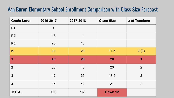#### Van Buren Elementary School Enrollment Comparison with Class Size Forecast

| <b>Grade Level</b>      | 2016-2017 | 2017-2018 | <b>Class Size</b> | # of Teachers  |
|-------------------------|-----------|-----------|-------------------|----------------|
| <b>P1</b>               | 1         |           |                   |                |
| <b>P2</b>               | 13        | 1         |                   |                |
| <b>P3</b>               | 23        | 13        |                   |                |
| K                       | 28        | 23        | $11.5$            | 2(?)           |
| 1                       | 40        | 28        | 28                | 1              |
| $\overline{2}$          | 35        | 40        | 20                | 2              |
| $\mathbf{3}$            | 42        | 35        | 17.5              | $\overline{2}$ |
| $\overline{\mathbf{4}}$ | 35        | 42        | 21                | $\overline{2}$ |
| <b>TOTAL</b>            | 180       | 168       | Down 12           |                |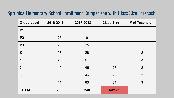#### **Sprunica Elementary School Enrollment Comparison with Class Size Forecast**

| <b>Grade Level</b> | 2016-2017   | 2017-2018      | <b>Class Size</b> | # of Teachers  |
|--------------------|-------------|----------------|-------------------|----------------|
| P <sub>1</sub>     | $\mathbf 0$ |                |                   |                |
| <b>P2</b>          | 25          | $\overline{0}$ |                   |                |
| <b>P3</b>          | 28          | 25             |                   |                |
| K                  | 57          | 28             | 14                | $\overline{2}$ |
| 1                  | 46          | 57             | 19                | 3              |
| $\overline{2}$     | 46          | 46             | 23                | $\overline{2}$ |
| $\mathbf{3}$       | 63          | 46             | 23                | $\overline{2}$ |
| 4                  | 44          | 63             | 21                | 3              |
| <b>TOTAL</b>       | 256         | 240            | Down 16           |                |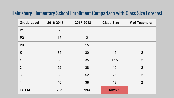#### Helmsburg Elementary School Enrollment Comparison with Class Size Forecast

| <b>Grade Level</b>      | 2016-2017      | 2017-2018      | <b>Class Size</b> | # of Teachers  |
|-------------------------|----------------|----------------|-------------------|----------------|
| <b>P1</b>               | $\overline{2}$ |                |                   |                |
| <b>P2</b>               | 15             | $\overline{2}$ |                   |                |
| <b>P3</b>               | 30             | 15             |                   |                |
| K                       | 35             | 30             | 15                | 2              |
| 1                       | 38             | 35             | 17.5              | 2              |
| $\boldsymbol{2}$        | 52             | 38             | 19                | $\overline{2}$ |
| $\mathbf{3}$            | 38             | 52             | 26                | $\overline{2}$ |
| $\overline{\mathbf{4}}$ | 40             | 38             | 19                | $\overline{2}$ |
| <b>TOTAL</b>            | 203            | 193            | Down 10           |                |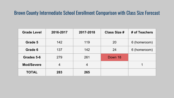#### Brown County Intermediate School Enrollment Comparison with Class Size Forecast

| <b>Grade Level</b> | 2016-2017      | 2017-2018 | <b>Class Size #</b> | # of Teachers |
|--------------------|----------------|-----------|---------------------|---------------|
| Grade 5            | 142            | 119       | 20                  | 6 (homeroom)  |
| Grade 6            | 137            | 142       | 24                  | 6 (homeroom)  |
| Grades 5-6         | 279            | 261       | Down 18             |               |
| <b>Mod/Severe</b>  | $\overline{4}$ | 4         |                     |               |
| <b>TOTAL</b>       | 283            | 265       |                     |               |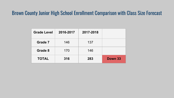#### Brown County Junior High School Enrollment Comparison with Class Size Forecast

| <b>Grade Level</b> | 2016-2017 | 2017-2018 |         |
|--------------------|-----------|-----------|---------|
| Grade 7            | 146       | 137       |         |
| Grade 8            | 170       | 146       |         |
| <b>TOTAL</b>       | 316       | 283       | Down 33 |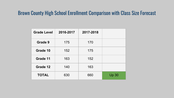#### Brown County High School Enrollment Comparison with Class Size Forecast

| <b>Grade Level</b> | 2016-2017 | 2017-2018 |       |
|--------------------|-----------|-----------|-------|
| Grade 9            | 175       | 170       |       |
| Grade 10           | 152       | 175       |       |
| Grade 11           | 163       | 152       |       |
| Grade 12           | 140       | 163       |       |
| <b>TOTAL</b>       | 630       | 660       | Up 30 |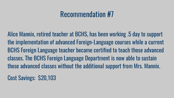Alice Mannix, retired teacher at BCHS, has been working .5 day to support the implementation of advanced Foreign-Language courses while a current BCHS Foreign Language teacher became certified to teach those advanced classes. The BCHS Foreign Language Department is now able to sustain those advanced classes without the additional support from Mrs. Mannix.

**Cost Savings: \$20,103**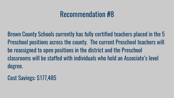Brown County Schools currently has fully certified teachers placed in the 5 Preschool positions across the county. The current Preschool teachers will be reassigned to open positions in the district and the Preschool classrooms will be staffed with individuals who hold an Associate's level degree.

Cost Savings: \$177,485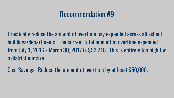Drastically reduce the amount of overtime pay expended across all school buildings/departments. The current total amount of overtime expended from July 1, 2016 - March 30, 2017 is \$92,218. This is entirely too high for a district our size.

Cost Savings: Reduce the amount of overtime by at least \$50,000.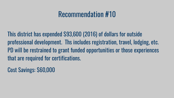This district has expended \$93,600 (2016) of dollars for outside professional development. Ths includes registration, travel, lodging, etc. PD will be restrained to grant funded opportunities or those experiences that are required for certifications.

**Cost Savings: \$60,000**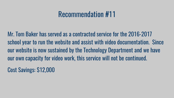Mr. Tom Baker has served as a contracted service for the 2016-2017 school year to run the website and assist with video documentation. Since our website is now sustained by the Technology Department and we have our own capacity for video work, this service will not be continued.

**Cost Savings: \$12,000**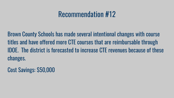Brown County Schools has made several intentional changes with course titles and have offered more CTE courses that are reimbursable through **IDOE.** The district is forecasted to increase CTE revenues because of these changes.

Cost Savings: \$50,000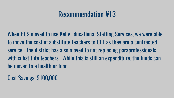When BCS moved to use Kelly Educational Staffing Services, we were able to move the cost of substitute teachers to CPF as they are a contracted service. The district has also moved to not replacing paraprofessionals with substitute teachers. While this is still an expenditure, the funds can be moved to a healthier fund.

**Cost Savings: \$100,000**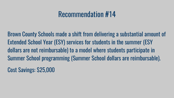Brown County Schools made a shift from delivering a substantial amount of Extended School Year (ESY) services for students in the summer (ESY) dollars are not reimbursable) to a model where students participate in Summer School programming (Summer School dollars are reimbursable).

**Cost Savings: \$25,000**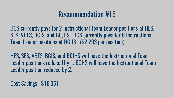BCS currently pays for 2 Instructional Team Leader positions at HES, SES, VBES, BCIS, and BCJHS. BCS currently pays for 6 Instructional Team Leader positions at BCHS. (\$2,293 per position).

HES, SES, VBES, BCIS, and BCJHS will have the Instructional Team Leader positions reduced by 1. BCHS will have the Instructional Team Leader position reduced by 2.

Cost Savings: \$16,051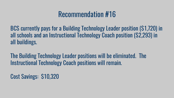BCS currently pays for a Building Technology Leader position (\$1,720) in all schools and an Instructional Technology Coach position (\$2,293) in all buildings.

The Building Technology Leader positions will be eliminated. The **Instructional Technology Coach positions will remain.** 

Cost Savings: \$10,320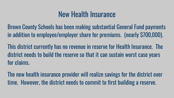# **New Health Insurance**

Brown County Schools has been making substantial General Fund payments in addition to employee/employer share for premiums. (nearly \$700,000).

This district currently has no revenue in reserve for Health Insurance. The district needs to build the reserve so that it can sustain worst case years for claims.

The new health insurance provider will realize savings for the district over time. However, the district needs to commit to first building a reserve.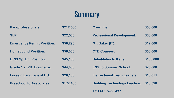# Summary

| <b>Paraprofessionals:</b>         | \$212,500 | <b>Overtime:</b>                    | \$50,000  |
|-----------------------------------|-----------|-------------------------------------|-----------|
| SLP:                              | \$22,500  | <b>Professional Development:</b>    | \$60,000  |
| <b>Emergency Permit Position:</b> | \$50,290  | Mr. Baker (IT):                     | \$12,000  |
| <b>Homebound Position:</b>        | \$58,000  | <b>CTE Courses:</b>                 | \$50,000  |
| <b>BCIS Sp. Ed. Position:</b>     | \$45,188  | <b>Substitutes to Kelly:</b>        | \$100,000 |
| <b>Grade 1 at VB: Downsize:</b>   | \$44,000  | <b>ESY to Summer School:</b>        | \$25,000  |
| <b>Foreign Language at HS:</b>    | \$20,103  | <b>Instructional Team Leaders:</b>  | \$16,051  |
| <b>Preschool to Associates:</b>   | \$177,485 | <b>Building Technology Leaders:</b> | \$10,320  |
|                                   |           | <b>TOTAL: \$958,437</b>             |           |